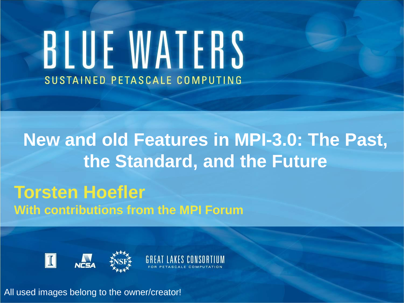# BLUE WATERS SUSTAINED PETASCALE COMPUTING

## **New and old Features in MPI-3.0: The Past, the Standard, and the Future**

#### **Torsten Hoefler With contributions from the MPI Forum**





All used images belong to the owner/creator!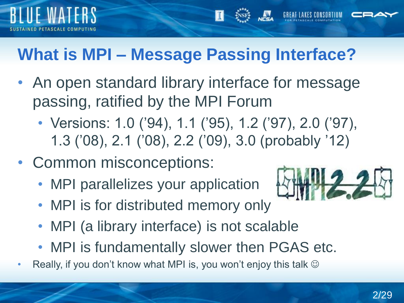

## **What is MPI – Message Passing Interface?**

- An open standard library interface for message passing, ratified by the MPI Forum
	- Versions: 1.0 ('94), 1.1 ('95), 1.2 ('97), 2.0 ('97), 1.3 ('08), 2.1 ('08), 2.2 ('09), 3.0 (probably '12)
- Common misconceptions:
	- MPI parallelizes your application



- MPI is for distributed memory only
- MPI (a library interface) is not scalable
- MPI is fundamentally slower then PGAS etc.
- Really, if you don't know what MPI is, you won't enjoy this talk  $\odot$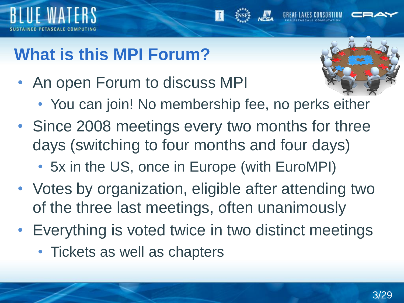



• An open Forum to discuss MPI



- You can join! No membership fee, no perks either
- Since 2008 meetings every two months for three days (switching to four months and four days)
	- 5x in the US, once in Europe (with EuroMPI)
- Votes by organization, eligible after attending two of the three last meetings, often unanimously
- Everything is voted twice in two distinct meetings
	- Tickets as well as chapters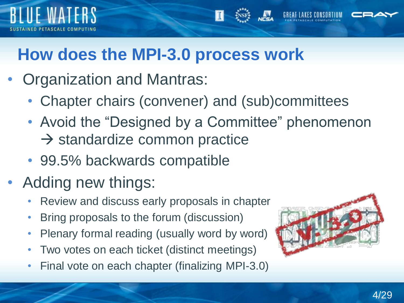



- Organization and Mantras:
	- Chapter chairs (convener) and (sub)committees
	- Avoid the "Designed by a Committee" phenomenon  $\rightarrow$  standardize common practice
	- 99.5% backwards compatible
- Adding new things:
	- Review and discuss early proposals in chapter
	- Bring proposals to the forum (discussion)
	- Plenary formal reading (usually word by word)
	- Two votes on each ticket (distinct meetings)
	- Final vote on each chapter (finalizing MPI-3.0)

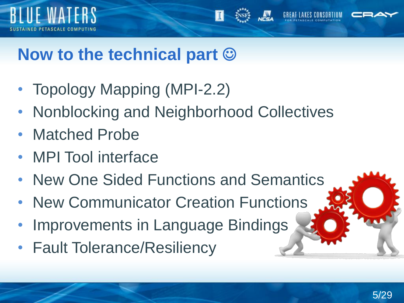



#### **Now to the technical part**

- Topology Mapping (MPI-2.2)
- Nonblocking and Neighborhood Collectives
- Matched Probe
- MPI Tool interface
- New One Sided Functions and Semantics
- New Communicator Creation Functions
- Improvements in Language Bindings
- Fault Tolerance/Resiliency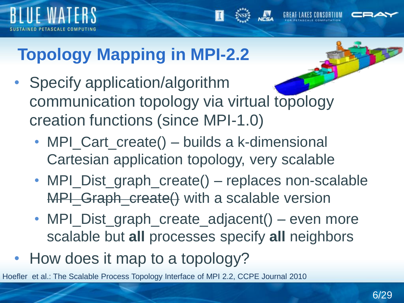



## **Topology Mapping in MPI-2.2**

- Specify application/algorithm communication topology via virtual topology creation functions (since MPI-1.0)
	- MPI\_Cart\_create() builds a k-dimensional Cartesian application topology, very scalable
	- MPI\_Dist\_graph\_create() replaces non-scalable MPI Graph\_create() with a scalable version
	- MPI\_Dist\_graph\_create\_adjacent() even more scalable but **all** processes specify **all** neighbors
- How does it map to a topology?

Hoefler et al.: The Scalable Process Topology Interface of MPI 2.2, CCPE Journal 2010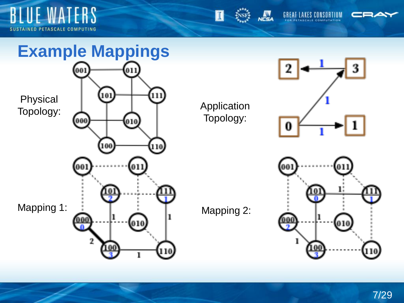





#### **Example Mappings**

011



Topology:



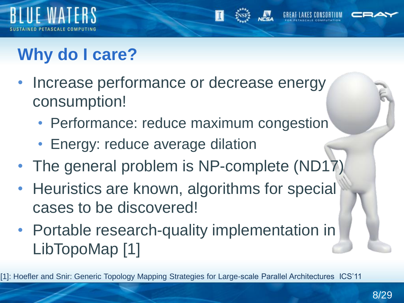



- Increase performance or decrease energy consumption!
	- Performance: reduce maximum congestion
	- Energy: reduce average dilation
- The general problem is NP-complete (ND17)
- Heuristics are known, algorithms for special cases to be discovered!
- Portable research-quality implementation in LibTopoMap [1]

[1]: Hoefler and Snir: Generic Topology Mapping Strategies for Large-scale Parallel Architectures ICS'11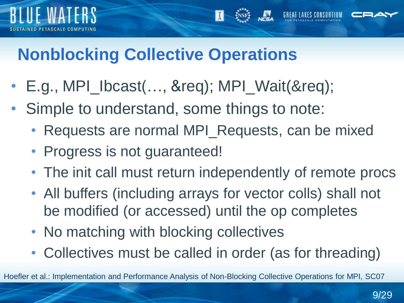



- E.g., MPI\_Ibcast(…, &req); MPI\_Wait(&req);
- Simple to understand, some things to note:
	- Requests are normal MPI\_Requests, can be mixed
	- Progress is not guaranteed!
	- The init call must return independently of remote procs
	- All buffers (including arrays for vector colls) shall not be modified (or accessed) until the op completes
	- No matching with blocking collectives
	- Collectives must be called in order (as for threading)

Hoefler et al.: Implementation and Performance Analysis of Non-Blocking Collective Operations for MPI, SC07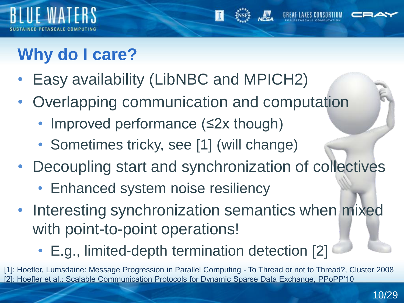



- Easy availability (LibNBC and MPICH2)
- Overlapping communication and computation
	- Improved performance (≤2x though)
	- Sometimes tricky, see [1] (will change)
- Decoupling start and synchronization of collectives
	- Enhanced system noise resiliency
- Interesting synchronization semantics when mixed with point-to-point operations!

• E.g., limited-depth termination detection [2]

[1]: Hoefler, Lumsdaine: Message Progression in Parallel Computing - To Thread or not to Thread?, Cluster 2008 Hoefler et al.: Scalable Communication Protocols for Dynamic Sparse Data Exchange, PPoPP'10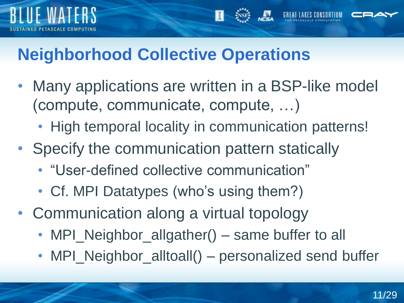



- Many applications are written in a BSP-like model (compute, communicate, compute, …)
	- High temporal locality in communication patterns!
- Specify the communication pattern statically
	- "User-defined collective communication"
	- Cf. MPI Datatypes (who's using them?)
- Communication along a virtual topology
	- MPI\_Neighbor\_allgather() same buffer to all
	- MPI\_Neighbor\_alltoall() personalized send buffer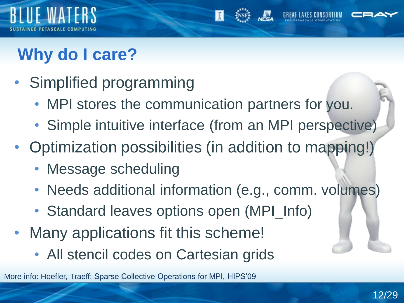



- Simplified programming
	- MPI stores the communication partners for you.
	- Simple intuitive interface (from an MPI perspective)
- Optimization possibilities (in addition to mapping!)
	- Message scheduling
	- Needs additional information (e.g., comm. volumes)
	- Standard leaves options open (MPI\_Info)
- Many applications fit this scheme!
	- All stencil codes on Cartesian grids

More info: Hoefler, Traeff: Sparse Collective Operations for MPI, HIPS'09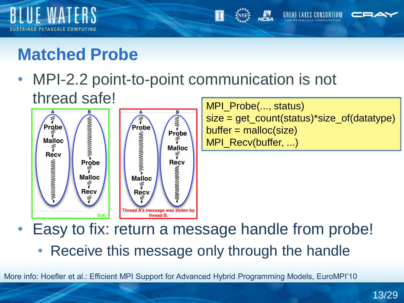



• MPI-2.2 point-to-point communication is not thread safe!



MPI Probe(..., status) size = get\_count(status)\*size\_of(datatype)  $buffer = malloc(size)$ MPI\_Recv(buffer, ...)

• Easy to fix: return a message handle from probe! • Receive this message only through the handle

More info: Hoefler et al.: Efficient MPI Support for Advanced Hybrid Programming Models, EuroMPI'10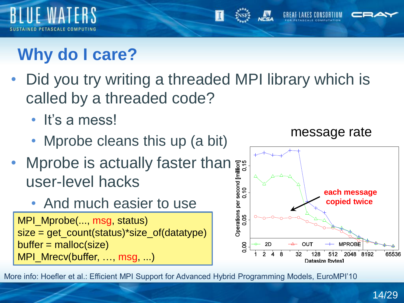

## **Why do I care?**

- Did you try writing a threaded MPI library which is called by a threaded code?
	- It's a mess!
	- Mprobe cleans this up (a bit)
- Mprobe is actually faster than user-level hacks
	- And much easier to use

MPI\_Mprobe(..., msg, status) size = get\_count(status)\*size\_of(datatype)  $buffer = malloc(size)$ MPI\_Mrecv(buffer, …, msg, ...)



More info: Hoefler et al.: Efficient MPI Support for Advanced Hybrid Programming Models, EuroMPI'10

message rate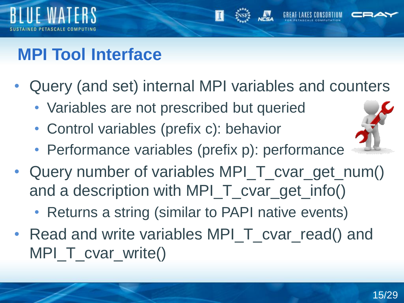

## **MPI Tool Interface**

- Query (and set) internal MPI variables and counters
	- Variables are not prescribed but queried
	- Control variables (prefix c): behavior
	- Performance variables (prefix p): performance
- Query number of variables MPI\_T\_cvar\_get\_num() and a description with MPI\_T\_cvar\_get\_info()
	- Returns a string (similar to PAPI native events)
- Read and write variables MPI T cvar read() and MPI T cvar write()

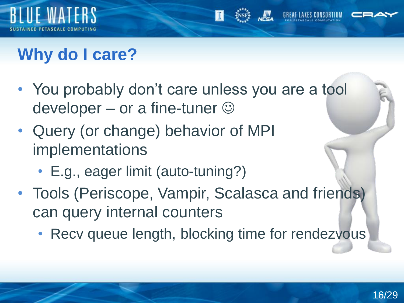



- You probably don't care unless you are a tool developer – or a fine-tuner  $\odot$
- Query (or change) behavior of MPI implementations
	- E.g., eager limit (auto-tuning?)
- Tools (Periscope, Vampir, Scalasca and friends) can query internal counters
	- Recv queue length, blocking time for rendezvous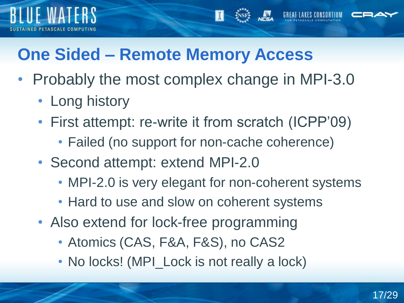

#### **One Sided – Remote Memory Access**

- Probably the most complex change in MPI-3.0
	- Long history
	- First attempt: re-write it from scratch (ICPP'09)
		- Failed (no support for non-cache coherence)
	- Second attempt: extend MPI-2.0
		- MPI-2.0 is very elegant for non-coherent systems
		- Hard to use and slow on coherent systems
	- Also extend for lock-free programming
		- Atomics (CAS, F&A, F&S), no CAS2
		- No locks! (MPI\_Lock is not really a lock)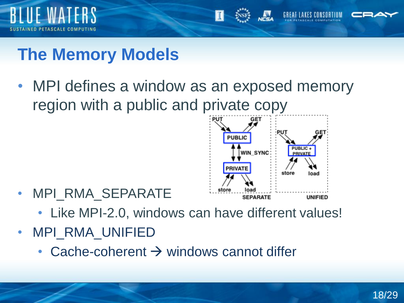



### **The Memory Models**

• MPI defines a window as an exposed memory region with a public and private copy



- MPI RMA SEPARATE
	- Like MPI-2.0, windows can have different values!
- MPI\_RMA\_UNIFIED
	- Cache-coherent  $\rightarrow$  windows cannot differ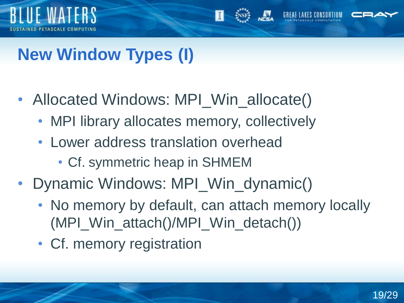



## **New Window Types (I)**

- Allocated Windows: MPI\_Win\_allocate()
	- MPI library allocates memory, collectively
	- Lower address translation overhead
		- Cf. symmetric heap in SHMEM
- Dynamic Windows: MPI\_Win\_dynamic()
	- No memory by default, can attach memory locally (MPI\_Win\_attach()/MPI\_Win\_detach())
	- Cf. memory registration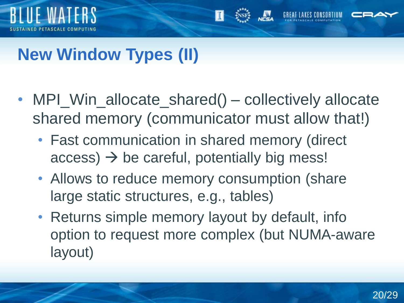



## **New Window Types (II)**

- MPI\_Win\_allocate\_shared() collectively allocate shared memory (communicator must allow that!)
	- Fast communication in shared memory (direct  $access$ )  $\rightarrow$  be careful, potentially big mess!
	- Allows to reduce memory consumption (share large static structures, e.g., tables)
	- Returns simple memory layout by default, info option to request more complex (but NUMA-aware layout)

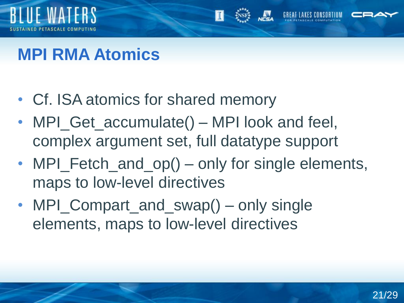



- Cf. ISA atomics for shared memory
- MPI\_Get\_accumulate() MPI look and feel, complex argument set, full datatype support
- MPI\_Fetch\_and\_op() only for single elements, maps to low-level directives
- MPI Compart and swap() only single elements, maps to low-level directives

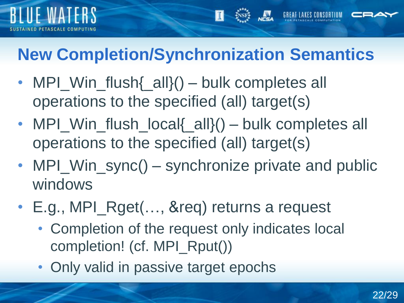

## **New Completion/Synchronization Semantics**

- MPI Win flush{ all}() bulk completes all operations to the specified (all) target(s)
- MPI\_Win\_flush\_local{\_all}() bulk completes all operations to the specified (all) target(s)
- MPI\_Win\_sync() synchronize private and public windows
- E.g., MPI\_Rget(..., &req) returns a request
	- Completion of the request only indicates local completion! (cf. MPI\_Rput())
	- Only valid in passive target epochs

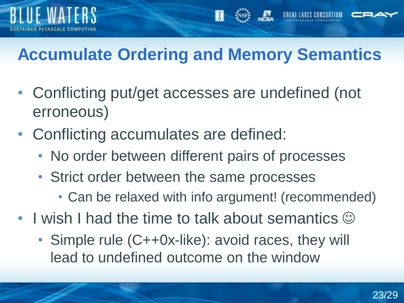



- Conflicting put/get accesses are undefined (not erroneous)
- Conflicting accumulates are defined:
	- No order between different pairs of processes
	- Strict order between the same processes
		- Can be relaxed with info argument! (recommended)
- I wish I had the time to talk about semantics  $\odot$ 
	- Simple rule (C++0x-like): avoid races, they will lead to undefined outcome on the window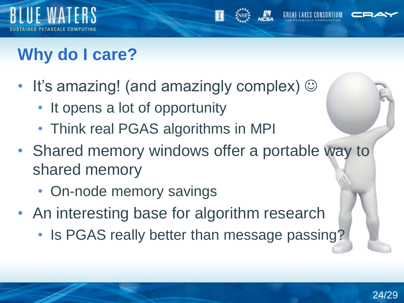



- It's amazing! (and amazingly complex)  $\odot$ 
	- It opens a lot of opportunity
	- Think real PGAS algorithms in MPI
- Shared memory windows offer a portable way to shared memory
	- On-node memory savings
- An interesting base for algorithm research
	- Is PGAS really better than message passing?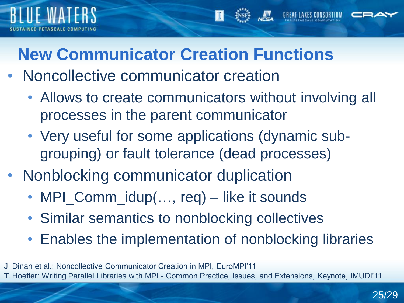

#### **New Communicator Creation Functions**

- Noncollective communicator creation
	- Allows to create communicators without involving all processes in the parent communicator
	- Very useful for some applications (dynamic subgrouping) or fault tolerance (dead processes)
- Nonblocking communicator duplication
	- MPI\_Comm\_idup(..., req) like it sounds
	- Similar semantics to nonblocking collectives
	- Enables the implementation of nonblocking libraries
- J. Dinan et al.: Noncollective Communicator Creation in MPI, EuroMPI'11

T. Hoefler: Writing Parallel Libraries with MPI - Common Practice, Issues, and Extensions, Keynote, IMUDI'11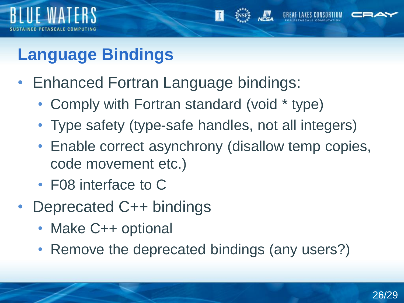



## • Enhanced Fortran Language bindings:

- Comply with Fortran standard (void \* type)
- Type safety (type-safe handles, not all integers)
- Enable correct asynchrony (disallow temp copies, code movement etc.)
- F08 interface to C
- Deprecated C++ bindings
	- Make C++ optional
	- Remove the deprecated bindings (any users?)

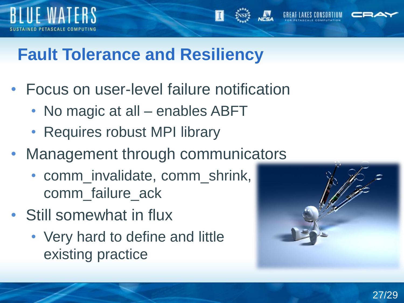



## **Fault Tolerance and Resiliency**

- Focus on user-level failure notification
	- No magic at all enables ABFT
	- Requires robust MPI library
- Management through communicators
	- comm\_invalidate, comm\_shrink, comm\_failure\_ack
- Still somewhat in flux
	- Very hard to define and little existing practice

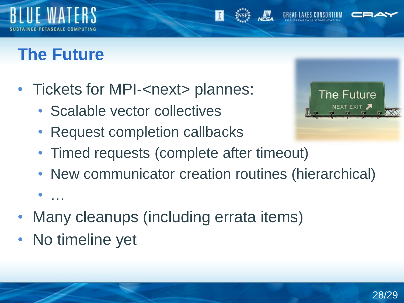



- Tickets for MPI-<next> plannes:
	- Scalable vector collectives
	- Request completion callbacks
	- Timed requests (complete after timeout)
	- New communicator creation routines (hierarchical)
- Many cleanups (including errata items)
- No timeline yet

• …